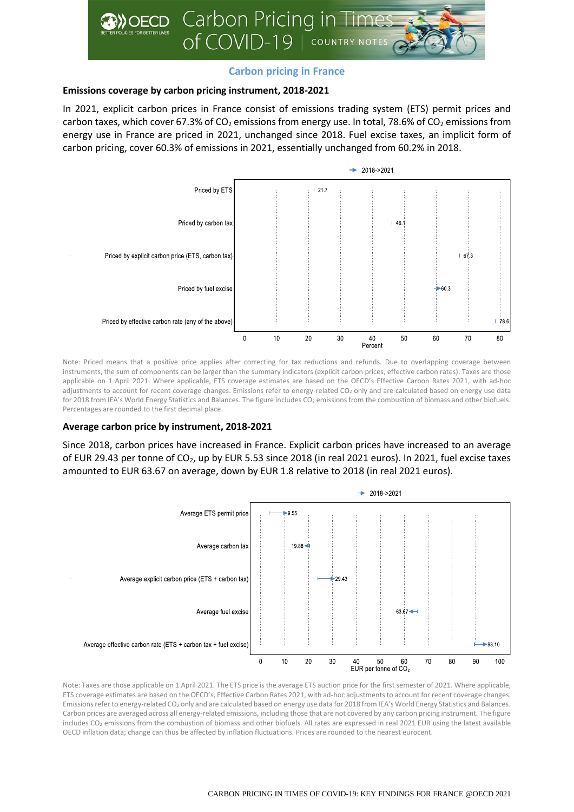

# **Carbon pricing in France**

## **Emissions coverage by carbon pricing instrument, 2018-2021**

In 2021, explicit carbon prices in France consist of emissions trading system (ETS) permit prices and carbon taxes, which cover 67.3% of CO<sub>2</sub> emissions from energy use. In total, 78.6% of CO<sub>2</sub> emissions from energy use in France are priced in 2021, unchanged since 2018. Fuel excise taxes, an implicit form of carbon pricing, cover 60.3% of emissions in 2021, essentially unchanged from 60.2% in 2018.



Note: Priced means that a positive price applies after correcting for tax reductions and refunds. Due to overlapping coverage between instruments, the sum of components can be larger than the summary indicators (explicit carbon prices, effective carbon rates). Taxes are those applicable on 1 April 2021. Where applicable, ETS coverage estimates are based on the OECD's Effective Carbon Rates 2021, with ad-hoc adjustments to account for recent coverage changes. Emissions refer to energy-related CO<sub>2</sub> only and are calculated based on energy use data for 2018 from IEA's World Energy Statistics and Balances. The figure includes CO<sub>2</sub> emissions from the combustion of biomass and other biofuels. Percentages are rounded to the first decimal place.

### **Average carbon price by instrument, 2018-2021**

Since 2018, carbon prices have increased in France. Explicit carbon prices have increased to an average of EUR 29.43 per tonne of CO2, up by EUR 5.53 since 2018 (in real 2021 euros). In 2021, fuel excise taxes amounted to EUR 63.67 on average, down by EUR 1.8 relative to 2018 (in real 2021 euros).



Note: Taxes are those applicable on 1 April 2021. The ETS price is the average ETS auction price for the first semester of 2021. Where applicable, ETS coverage estimates are based on the OECD's, Effective Carbon Rates 2021, with ad-hoc adjustments to account for recent coverage changes. Emissions refer to energy-related CO<sup>2</sup> only and are calculated based on energy use data for 2018 from IEA's World Energy Statistics and Balances. Carbon prices are averaged across all energy-related emissions, including those that are not covered by any carbon pricing instrument. The figure includes CO<sub>2</sub> emissions from the combustion of biomass and other biofuels. All rates are expressed in real 2021 EUR using the latest available OECD inflation data; change can thus be affected by inflation fluctuations. Prices are rounded to the nearest eurocent.